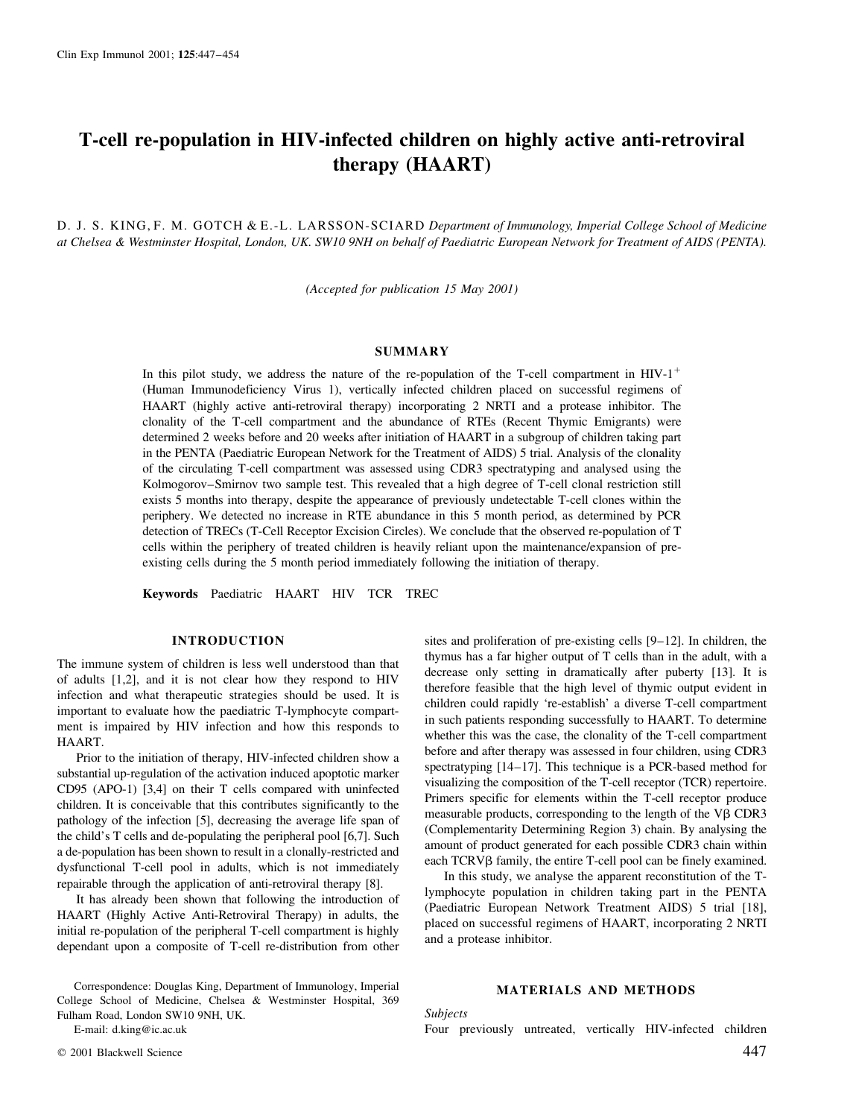# T-cell re-population in HIV-infected children on highly active anti-retroviral therapy (HAART)

D. J. S. KING, F. M. GOTCH & E.-L. LARSSON-SCIARD Department of Immunology, Imperial College School of Medicine at Chelsea & Westminster Hospital, London, UK. SW10 9NH on behalf of Paediatric European Network for Treatment of AIDS (PENTA).

(Accepted for publication 15 May 2001)

## SUMMARY

In this pilot study, we address the nature of the re-population of the T-cell compartment in  $HIV-1$ <sup>+</sup> (Human Immunodeficiency Virus 1), vertically infected children placed on successful regimens of HAART (highly active anti-retroviral therapy) incorporating 2 NRTI and a protease inhibitor. The clonality of the T-cell compartment and the abundance of RTEs (Recent Thymic Emigrants) were determined 2 weeks before and 20 weeks after initiation of HAART in a subgroup of children taking part in the PENTA (Paediatric European Network for the Treatment of AIDS) 5 trial. Analysis of the clonality of the circulating T-cell compartment was assessed using CDR3 spectratyping and analysed using the Kolmogorov–Smirnov two sample test. This revealed that a high degree of T-cell clonal restriction still exists 5 months into therapy, despite the appearance of previously undetectable T-cell clones within the periphery. We detected no increase in RTE abundance in this 5 month period, as determined by PCR detection of TRECs (T-Cell Receptor Excision Circles). We conclude that the observed re-population of T cells within the periphery of treated children is heavily reliant upon the maintenance/expansion of preexisting cells during the 5 month period immediately following the initiation of therapy.

Keywords Paediatric HAART HIV TCR TREC

# INTRODUCTION

The immune system of children is less well understood than that of adults [1,2], and it is not clear how they respond to HIV infection and what therapeutic strategies should be used. It is important to evaluate how the paediatric T-lymphocyte compartment is impaired by HIV infection and how this responds to HAART.

Prior to the initiation of therapy, HIV-infected children show a substantial up-regulation of the activation induced apoptotic marker CD95 (APO-1) [3,4] on their T cells compared with uninfected children. It is conceivable that this contributes significantly to the pathology of the infection [5], decreasing the average life span of the child's T cells and de-populating the peripheral pool [6,7]. Such a de-population has been shown to result in a clonally-restricted and dysfunctional T-cell pool in adults, which is not immediately repairable through the application of anti-retroviral therapy [8].

It has already been shown that following the introduction of HAART (Highly Active Anti-Retroviral Therapy) in adults, the initial re-population of the peripheral T-cell compartment is highly dependant upon a composite of T-cell re-distribution from other

Correspondence: Douglas King, Department of Immunology, Imperial College School of Medicine, Chelsea & Westminster Hospital, 369 Fulham Road, London SW10 9NH, UK.

E-mail: d.king@ic.ac.uk

sites and proliferation of pre-existing cells  $[9-12]$ . In children, the thymus has a far higher output of T cells than in the adult, with a decrease only setting in dramatically after puberty [13]. It is therefore feasible that the high level of thymic output evident in children could rapidly `re-establish' a diverse T-cell compartment in such patients responding successfully to HAART. To determine whether this was the case, the clonality of the T-cell compartment before and after therapy was assessed in four children, using CDR3 spectratyping  $[14-17]$ . This technique is a PCR-based method for visualizing the composition of the T-cell receptor (TCR) repertoire. Primers specific for elements within the T-cell receptor produce measurable products, corresponding to the length of the V $\beta$  CDR3 (Complementarity Determining Region 3) chain. By analysing the amount of product generated for each possible CDR3 chain within each TCRV<sub>B</sub> family, the entire T-cell pool can be finely examined.

In this study, we analyse the apparent reconstitution of the Tlymphocyte population in children taking part in the PENTA (Paediatric European Network Treatment AIDS) 5 trial [18], placed on successful regimens of HAART, incorporating 2 NRTI and a protease inhibitor.

# MATERIALS AND METHODS

Subjects

Four previously untreated, vertically HIV-infected children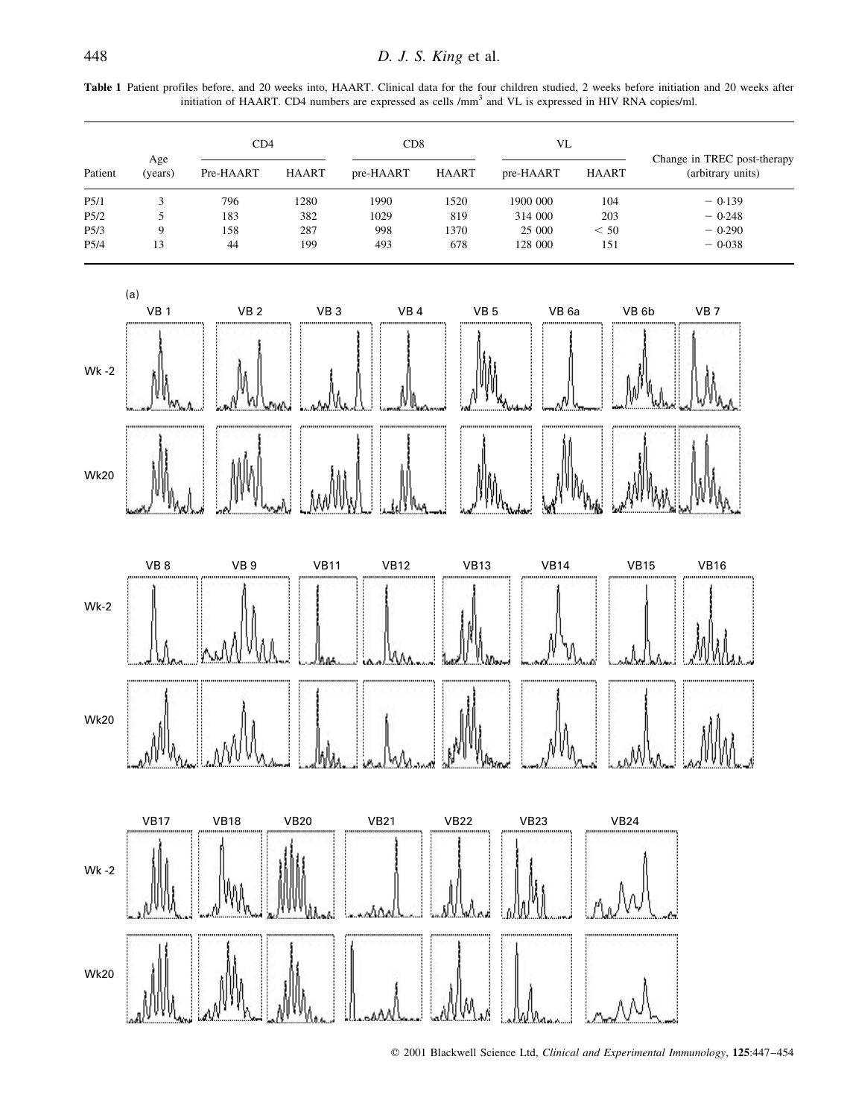| Patient          | Age<br>(years) | CD4       |              | CD8       |              | VL        |              |                                                  |  |
|------------------|----------------|-----------|--------------|-----------|--------------|-----------|--------------|--------------------------------------------------|--|
|                  |                | Pre-HAART | <b>HAART</b> | pre-HAART | <b>HAART</b> | pre-HAART | <b>HAART</b> | Change in TREC post-therapy<br>(arbitrary units) |  |
| P <sub>5/1</sub> |                | 796       | 1280         | 1990      | 1520         | 1900 000  | 104          | $-0.139$                                         |  |
| P5/2             |                | 183       | 382          | 1029      | 819          | 314 000   | 203          | $-0.248$                                         |  |
| P <sub>5/3</sub> | Q              | 158       | 287          | 998       | 1370         | 25 000    | < 50         | $-0.290$                                         |  |
| P <sub>5/4</sub> | 13             | 44        | 199          | 493       | 678          | 128 000   | 151          | $-0.038$                                         |  |



 $©$  2001 Blackwell Science Ltd, Clinical and Experimental Immunology, 125:447-454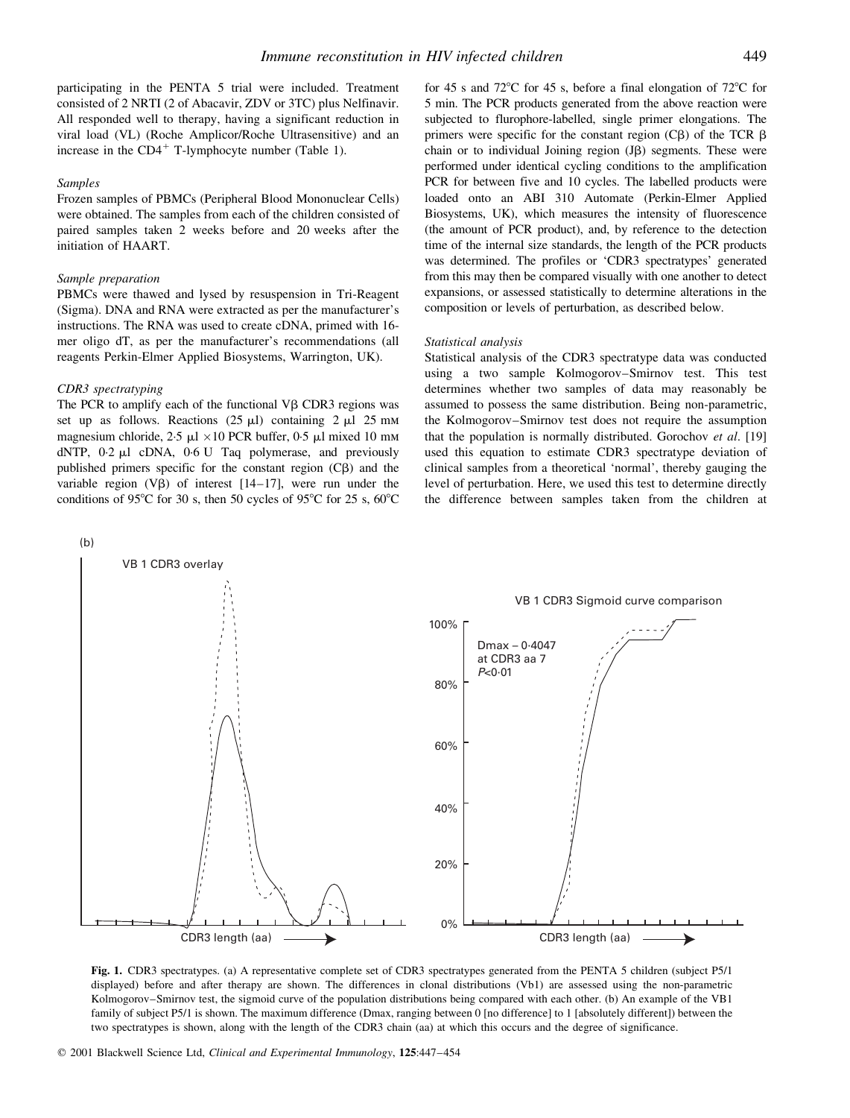participating in the PENTA 5 trial were included. Treatment consisted of 2 NRTI (2 of Abacavir, ZDV or 3TC) plus Nelfinavir. All responded well to therapy, having a significant reduction in viral load (VL) (Roche Amplicor/Roche Ultrasensitive) and an increase in the  $CD4^+$  T-lymphocyte number (Table 1).

#### Samples

Frozen samples of PBMCs (Peripheral Blood Mononuclear Cells) were obtained. The samples from each of the children consisted of paired samples taken 2 weeks before and 20 weeks after the initiation of HAART.

## Sample preparation

PBMCs were thawed and lysed by resuspension in Tri-Reagent (Sigma). DNA and RNA were extracted as per the manufacturer's instructions. The RNA was used to create cDNA, primed with 16 mer oligo dT, as per the manufacturer's recommendations (all reagents Perkin-Elmer Applied Biosystems, Warrington, UK).

#### CDR3 spectratyping

The PCR to amplify each of the functional  $V\beta$  CDR3 regions was set up as follows. Reactions  $(25 \text{ µ})$  containing  $2 \text{ µ}$   $25 \text{ mm}$ magnesium chloride,  $2.5 \mu$ l  $\times$ 10 PCR buffer, 0.5  $\mu$ l mixed 10 mm dNTP, 0<sup>2</sup>  $\mu$ l cDNA, 0<sup>6</sup> U Taq polymerase, and previously published primers specific for the constant region  $(C\beta)$  and the variable region  $(V\beta)$  of interest  $[14–17]$ , were run under the conditions of 95 $\degree$ C for 30 s, then 50 cycles of 95 $\degree$ C for 25 s, 60 $\degree$ C for 45 s and 72 $\degree$ C for 45 s, before a final elongation of 72 $\degree$ C for 5 min. The PCR products generated from the above reaction were subjected to flurophore-labelled, single primer elongations. The primers were specific for the constant region  $(C\beta)$  of the TCR  $\beta$ chain or to individual Joining region  $(J\beta)$  segments. These were performed under identical cycling conditions to the amplification PCR for between five and 10 cycles. The labelled products were loaded onto an ABI 310 Automate (Perkin-Elmer Applied Biosystems, UK), which measures the intensity of fluorescence (the amount of PCR product), and, by reference to the detection time of the internal size standards, the length of the PCR products was determined. The profiles or `CDR3 spectratypes' generated from this may then be compared visually with one another to detect expansions, or assessed statistically to determine alterations in the composition or levels of perturbation, as described below.

#### Statistical analysis

Statistical analysis of the CDR3 spectratype data was conducted using a two sample Kolmogorov-Smirnov test. This test determines whether two samples of data may reasonably be assumed to possess the same distribution. Being non-parametric, the Kolmogorov–Smirnov test does not require the assumption that the population is normally distributed. Gorochov et al. [19] used this equation to estimate CDR3 spectratype deviation of clinical samples from a theoretical `normal', thereby gauging the level of perturbation. Here, we used this test to determine directly the difference between samples taken from the children at



Fig. 1. CDR3 spectratypes. (a) A representative complete set of CDR3 spectratypes generated from the PENTA 5 children (subject P5/1 displayed) before and after therapy are shown. The differences in clonal distributions (Vb1) are assessed using the non-parametric Kolmogorov–Smirnov test, the sigmoid curve of the population distributions being compared with each other. (b) An example of the VB1 family of subject P5/1 is shown. The maximum difference (Dmax, ranging between 0 [no difference] to 1 [absolutely different]) between the two spectratypes is shown, along with the length of the CDR3 chain (aa) at which this occurs and the degree of significance.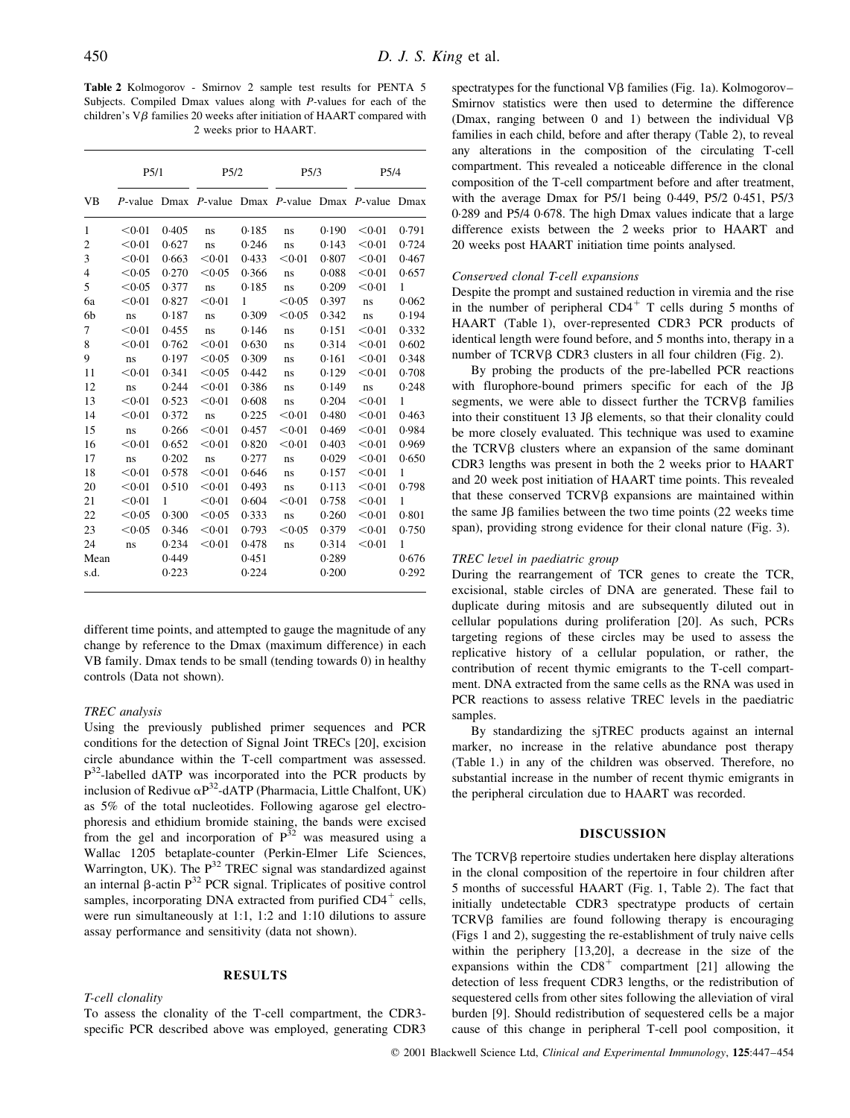Table 2 Kolmogorov - Smirnov 2 sample test results for PENTA 5 Subjects. Compiled Dmax values along with P-values for each of the children's  $V\beta$  families 20 weeks after initiation of HAART compared with 2 weeks prior to HAART.

|                | P <sub>5/1</sub> |       | P <sub>5/2</sub> |       | P5/3                                   |       | P <sub>5/4</sub> |              |
|----------------|------------------|-------|------------------|-------|----------------------------------------|-------|------------------|--------------|
| VB             | $P$ -value       |       |                  |       | Dmax P-value Dmax P-value Dmax P-value |       |                  | Dmax         |
| 1              | < 0.01           | 0.405 | ns               | 0.185 | ns                                     | 0.190 | < 0.01           | 0.791        |
| $\mathbf{2}$   | < 0.01           | 0.627 | ns               | 0.246 | ns                                     | 0.143 | < 0.01           | 0.724        |
| 3              | < 0.01           | 0.663 | < 0.01           | 0.433 | < 0.01                                 | 0.807 | < 0.01           | 0.467        |
| $\overline{4}$ | < 0.05           | 0.270 | < 0.05           | 0.366 | ns                                     | 0.088 | < 0.01           | 0.657        |
| 5              | < 0.05           | 0.377 | ns               | 0.185 | ns                                     | 0.209 | < 0.01           | 1            |
| 6a             | < 0.01           | 0.827 | < 0.01           | 1     | < 0.05                                 | 0.397 | ns               | 0.062        |
| 6b             | ns               | 0.187 | ns               | 0.309 | < 0.05                                 | 0.342 | ns               | 0.194        |
| 7              | < 0.01           | 0.455 | ns               | 0.146 | ns                                     | 0.151 | < 0.01           | 0.332        |
| 8              | < 0.01           | 0.762 | < 0.01           | 0.630 | ns                                     | 0.314 | < 0.01           | 0.602        |
| 9              | ns               | 0.197 | < 0.05           | 0.309 | ns                                     | 0.161 | < 0.01           | 0.348        |
| 11             | < 0.01           | 0.341 | < 0.05           | 0.442 | ns                                     | 0.129 | < 0.01           | 0.708        |
| 12             | ns               | 0.244 | < 0.01           | 0.386 | ns                                     | 0.149 | ns               | 0.248        |
| 13             | < 0.01           | 0.523 | < 0.01           | 0.608 | ns                                     | 0.204 | < 0.01           | $\mathbf{1}$ |
| 14             | < 0.01           | 0.372 | ns               | 0.225 | < 0.01                                 | 0.480 | < 0.01           | 0.463        |
| 15             | ns               | 0.266 | < 0.01           | 0.457 | < 0.01                                 | 0.469 | < 0.01           | 0.984        |
| 16             | < 0.01           | 0.652 | < 0.01           | 0.820 | < 0.01                                 | 0.403 | < 0.01           | 0.969        |
| 17             | ns               | 0.202 | ns               | 0.277 | ns                                     | 0.029 | < 0.01           | 0.650        |
| 18             | < 0.01           | 0.578 | < 0.01           | 0.646 | ns                                     | 0.157 | < 0.01           | $\mathbf{1}$ |
| 20             | < 0.01           | 0.510 | < 0.01           | 0.493 | ns                                     | 0.113 | < 0.01           | 0.798        |
| 21             | < 0.01           | 1     | < 0.01           | 0.604 | < 0.01                                 | 0.758 | < 0.01           | $\mathbf{1}$ |
| 22             | < 0.05           | 0.300 | < 0.05           | 0.333 | ns                                     | 0.260 | < 0.01           | 0.801        |
| 23             | < 0.05           | 0.346 | < 0.01           | 0.793 | < 0.05                                 | 0.379 | < 0.01           | 0.750        |
| 24             | ns               | 0.234 | < 0.01           | 0.478 | ns                                     | 0.314 | < 0.01           | $\mathbf{1}$ |
| Mean           |                  | 0.449 |                  | 0.451 |                                        | 0.289 |                  | 0.676        |
| s.d.           |                  | 0.223 |                  | 0.224 |                                        | 0.200 |                  | 0.292        |

different time points, and attempted to gauge the magnitude of any change by reference to the Dmax (maximum difference) in each VB family. Dmax tends to be small (tending towards 0) in healthy controls (Data not shown).

## TREC analysis

Using the previously published primer sequences and PCR conditions for the detection of Signal Joint TRECs [20], excision circle abundance within the T-cell compartment was assessed. P32-labelled dATP was incorporated into the PCR products by inclusion of Redivue  $\alpha P^{32}$ -dATP (Pharmacia, Little Chalfont, UK) as 5% of the total nucleotides. Following agarose gel electrophoresis and ethidium bromide staining, the bands were excised from the gel and incorporation of  $P^{32}$  was measured using a Wallac 1205 betaplate-counter (Perkin-Elmer Life Sciences, Warrington, UK). The  $P^{32}$  TREC signal was standardized against an internal  $\beta$ -actin P<sup>32</sup> PCR signal. Triplicates of positive control samples, incorporating DNA extracted from purified  $CD4^+$  cells, were run simultaneously at 1:1, 1:2 and 1:10 dilutions to assure assay performance and sensitivity (data not shown).

# RESULTS

## T-cell clonality

To assess the clonality of the T-cell compartment, the CDR3 specific PCR described above was employed, generating CDR3 spectratypes for the functional  $V\beta$  families (Fig. 1a). Kolmogorov-Smirnov statistics were then used to determine the difference (Dmax, ranging between  $0$  and  $1$ ) between the individual V $\beta$ families in each child, before and after therapy (Table 2), to reveal any alterations in the composition of the circulating T-cell compartment. This revealed a noticeable difference in the clonal composition of the T-cell compartment before and after treatment, with the average Dmax for P5/1 being  $0.449$ , P5/2  $0.451$ , P5/3 0´289 and P5/4 0´678. The high Dmax values indicate that a large difference exists between the 2 weeks prior to HAART and 20 weeks post HAART initiation time points analysed.

#### Conserved clonal T-cell expansions

Despite the prompt and sustained reduction in viremia and the rise in the number of peripheral  $CD4^+$  T cells during 5 months of HAART (Table 1), over-represented CDR3 PCR products of identical length were found before, and 5 months into, therapy in a number of TCRVβ CDR3 clusters in all four children (Fig. 2).

By probing the products of the pre-labelled PCR reactions with flurophore-bound primers specific for each of the  $J\beta$ segments, we were able to dissect further the  $TCRV\beta$  families into their constituent 13 JB elements, so that their clonality could be more closely evaluated. This technique was used to examine the  $TCRV\beta$  clusters where an expansion of the same dominant CDR3 lengths was present in both the 2 weeks prior to HAART and 20 week post initiation of HAART time points. This revealed that these conserved  $TCRV\beta$  expansions are maintained within the same J $\beta$  families between the two time points (22 weeks time span), providing strong evidence for their clonal nature (Fig. 3).

#### TREC level in paediatric group

During the rearrangement of TCR genes to create the TCR, excisional, stable circles of DNA are generated. These fail to duplicate during mitosis and are subsequently diluted out in cellular populations during proliferation [20]. As such, PCRs targeting regions of these circles may be used to assess the replicative history of a cellular population, or rather, the contribution of recent thymic emigrants to the T-cell compartment. DNA extracted from the same cells as the RNA was used in PCR reactions to assess relative TREC levels in the paediatric samples.

By standardizing the sjTREC products against an internal marker, no increase in the relative abundance post therapy (Table 1.) in any of the children was observed. Therefore, no substantial increase in the number of recent thymic emigrants in the peripheral circulation due to HAART was recorded.

## DISCUSSION

The  $TCRV\beta$  repertoire studies undertaken here display alterations in the clonal composition of the repertoire in four children after 5 months of successful HAART (Fig. 1, Table 2). The fact that initially undetectable CDR3 spectratype products of certain TCRV<sub>B</sub> families are found following therapy is encouraging (Figs 1 and 2), suggesting the re-establishment of truly naive cells within the periphery [13,20], a decrease in the size of the expansions within the  $CD8<sup>+</sup>$  compartment [21] allowing the detection of less frequent CDR3 lengths, or the redistribution of sequestered cells from other sites following the alleviation of viral burden [9]. Should redistribution of sequestered cells be a major cause of this change in peripheral T-cell pool composition, it

© 2001 Blackwell Science Ltd, Clinical and Experimental Immunology, 125:447-454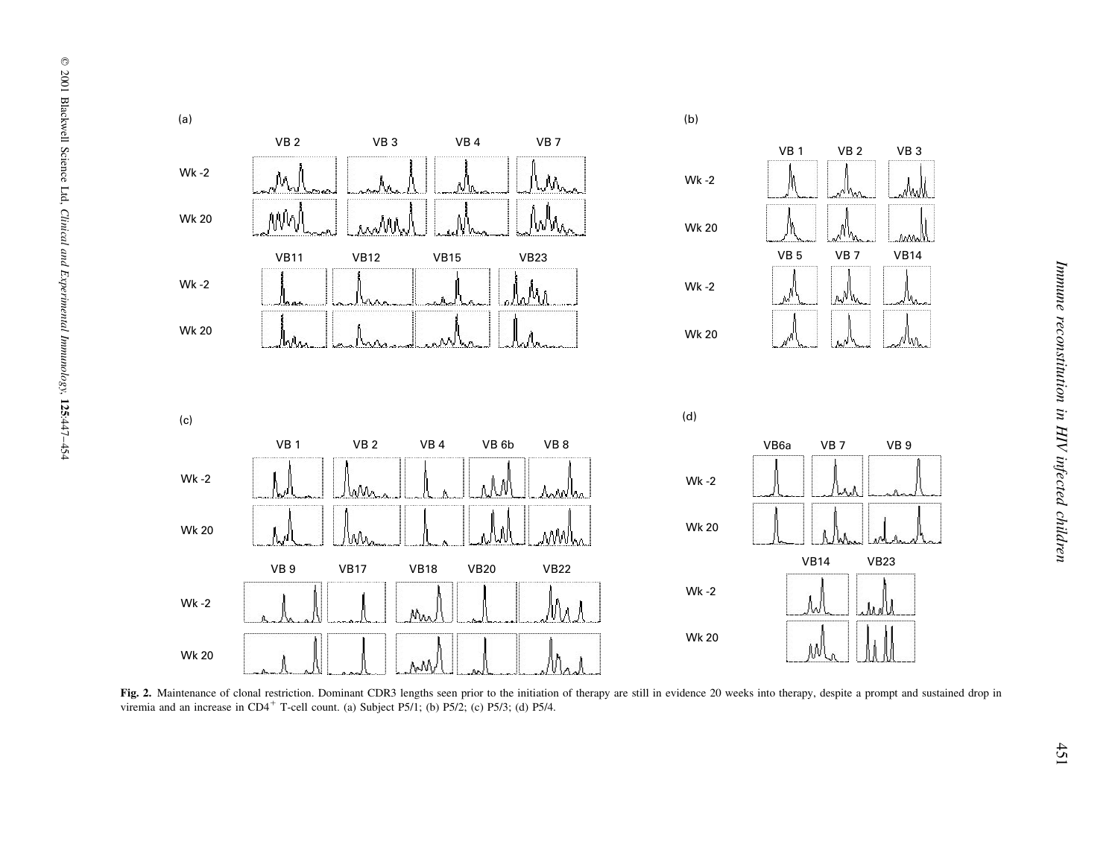

Fig. 2. Maintenance of clonal restriction. Dominant CDR3 lengths seen prior to the initiation of therapy are still in evidence 20 weeks into therapy, despite a prompt and sustained drop in viremia and an increase in  $CD4^+$  T-cell count. (a) Subject P5/1; (b) P5/2; (c) P5/3; (d) P5/4.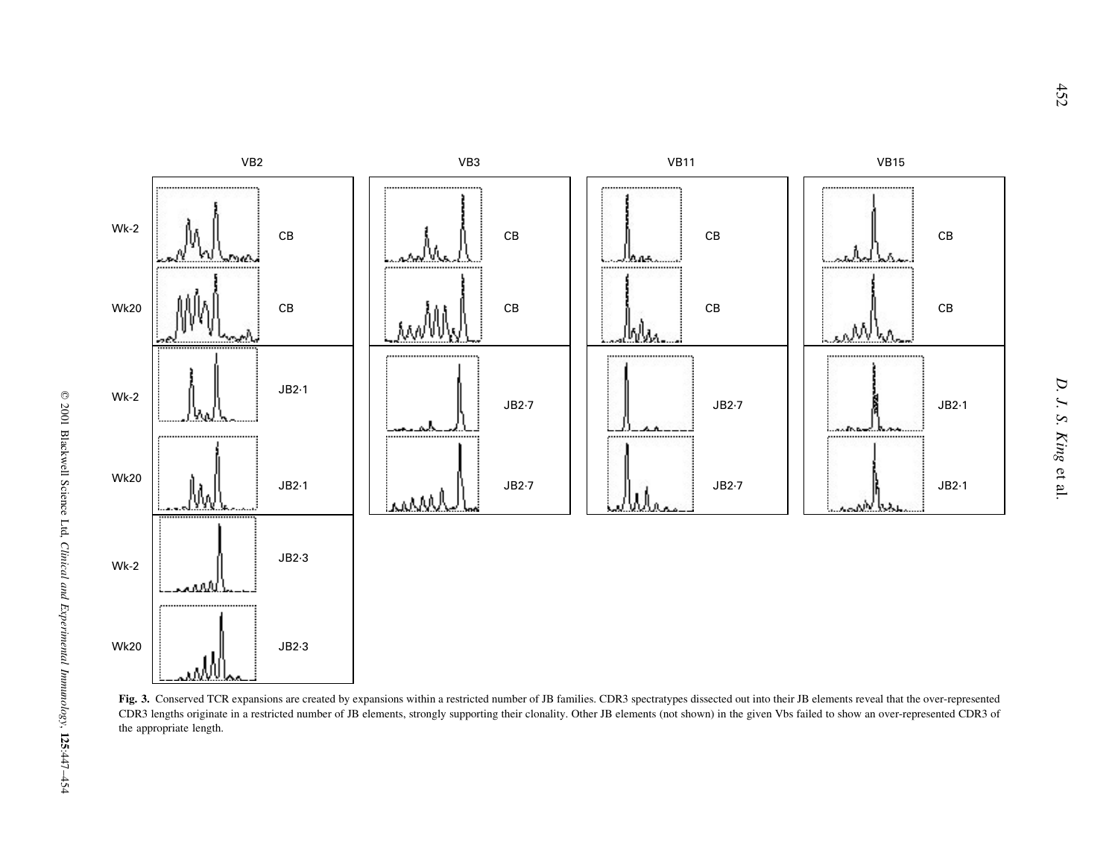

Fig. 3. Conserved TCR expansions are created by expansions within a restricted number of JB families. CDR3 spectratypes dissected out into their JB elements reveal that the over-represented CDR3 lengths originate in <sup>a</sup> restricted number of JB elements, strongly supporting their clonality. Other JB elements (not shown) in the given Vbs failed to show an over-represented CDR3 of the appropriate length.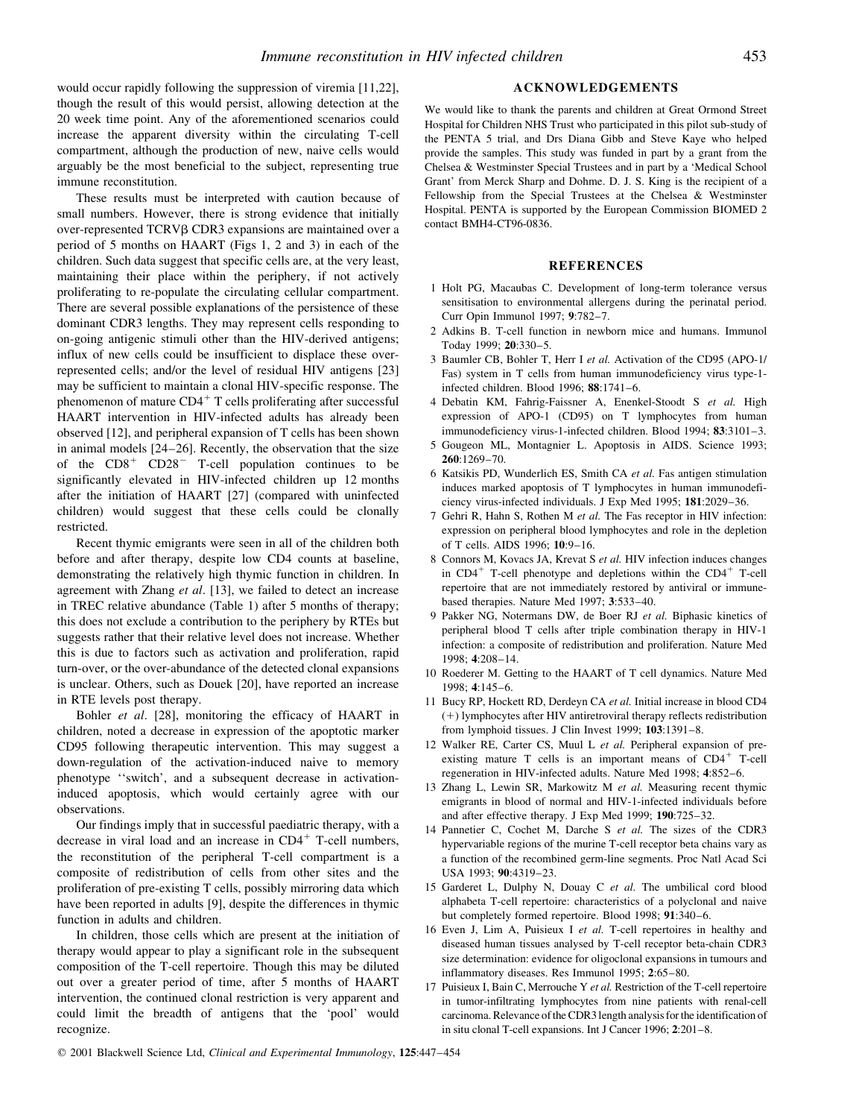would occur rapidly following the suppression of viremia [11,22], though the result of this would persist, allowing detection at the 20 week time point. Any of the aforementioned scenarios could increase the apparent diversity within the circulating T-cell compartment, although the production of new, naive cells would arguably be the most beneficial to the subject, representing true immune reconstitution.

These results must be interpreted with caution because of small numbers. However, there is strong evidence that initially over-represented TCRVb CDR3 expansions are maintained over a period of 5 months on HAART (Figs 1, 2 and 3) in each of the children. Such data suggest that specific cells are, at the very least, maintaining their place within the periphery, if not actively proliferating to re-populate the circulating cellular compartment. There are several possible explanations of the persistence of these dominant CDR3 lengths. They may represent cells responding to on-going antigenic stimuli other than the HIV-derived antigens; influx of new cells could be insufficient to displace these overrepresented cells; and/or the level of residual HIV antigens [23] may be sufficient to maintain a clonal HIV-specific response. The phenomenon of mature  $CD4^+$  T cells proliferating after successful HAART intervention in HIV-infected adults has already been observed [12], and peripheral expansion of T cells has been shown in animal models  $[24-26]$ . Recently, the observation that the size of the  $CD8<sup>+</sup> CD28<sup>-</sup> T-cell population continues to be$ significantly elevated in HIV-infected children up 12 months after the initiation of HAART [27] (compared with uninfected children) would suggest that these cells could be clonally restricted.

Recent thymic emigrants were seen in all of the children both before and after therapy, despite low CD4 counts at baseline, demonstrating the relatively high thymic function in children. In agreement with Zhang et al. [13], we failed to detect an increase in TREC relative abundance (Table 1) after 5 months of therapy; this does not exclude a contribution to the periphery by RTEs but suggests rather that their relative level does not increase. Whether this is due to factors such as activation and proliferation, rapid turn-over, or the over-abundance of the detected clonal expansions is unclear. Others, such as Douek [20], have reported an increase in RTE levels post therapy.

Bohler et al. [28], monitoring the efficacy of HAART in children, noted a decrease in expression of the apoptotic marker CD95 following therapeutic intervention. This may suggest a down-regulation of the activation-induced naive to memory phenotype "switch', and a subsequent decrease in activationinduced apoptosis, which would certainly agree with our observations.

Our findings imply that in successful paediatric therapy, with a decrease in viral load and an increase in  $CD4^+$  T-cell numbers, the reconstitution of the peripheral T-cell compartment is a composite of redistribution of cells from other sites and the proliferation of pre-existing T cells, possibly mirroring data which have been reported in adults [9], despite the differences in thymic function in adults and children.

In children, those cells which are present at the initiation of therapy would appear to play a significant role in the subsequent composition of the T-cell repertoire. Though this may be diluted out over a greater period of time, after 5 months of HAART intervention, the continued clonal restriction is very apparent and could limit the breadth of antigens that the `pool' would recognize.

## ACKNOWLEDGEMENTS

We would like to thank the parents and children at Great Ormond Street Hospital for Children NHS Trust who participated in this pilot sub-study of the PENTA 5 trial, and Drs Diana Gibb and Steve Kaye who helped provide the samples. This study was funded in part by a grant from the Chelsea & Westminster Special Trustees and in part by a `Medical School Grant' from Merck Sharp and Dohme. D. J. S. King is the recipient of a Fellowship from the Special Trustees at the Chelsea & Westminster Hospital. PENTA is supported by the European Commission BIOMED 2 contact BMH4-CT96-0836.

#### REFERENCES

- 1 Holt PG, Macaubas C. Development of long-term tolerance versus sensitisation to environmental allergens during the perinatal period. Curr Opin Immunol 1997; 9:782-7.
- 2 Adkins B. T-cell function in newborn mice and humans. Immunol Today 1999; 20:330-5.
- 3 Baumler CB, Bohler T, Herr I et al. Activation of the CD95 (APO-1/ Fas) system in T cells from human immunodeficiency virus type-1 infected children. Blood 1996;  $88:1741-6$ .
- 4 Debatin KM, Fahrig-Faissner A, Enenkel-Stoodt S et al. High expression of APO-1 (CD95) on T lymphocytes from human immunodeficiency virus-1-infected children. Blood 1994; 83:3101-3.
- 5 Gougeon ML, Montagnier L. Apoptosis in AIDS. Science 1993;  $260:1269-70.$
- 6 Katsikis PD, Wunderlich ES, Smith CA et al. Fas antigen stimulation induces marked apoptosis of T lymphocytes in human immunodeficiency virus-infected individuals. J Exp Med 1995; 181:2029-36.
- 7 Gehri R, Hahn S, Rothen M et al. The Fas receptor in HIV infection: expression on peripheral blood lymphocytes and role in the depletion of T cells. AIDS 1996; 10:9-16.
- 8 Connors M, Kovacs JA, Krevat S et al. HIV infection induces changes in  $CD4^+$  T-cell phenotype and depletions within the  $CD4^+$  T-cell repertoire that are not immediately restored by antiviral or immunebased therapies. Nature Med 1997; 3:533-40.
- 9 Pakker NG, Notermans DW, de Boer RJ et al. Biphasic kinetics of peripheral blood T cells after triple combination therapy in HIV-1 infection: a composite of redistribution and proliferation. Nature Med 1998: 4:208-14.
- 10 Roederer M. Getting to the HAART of T cell dynamics. Nature Med 1998; 4:145±6.
- 11 Bucy RP, Hockett RD, Derdeyn CA et al. Initial increase in blood CD4 (1) lymphocytes after HIV antiretroviral therapy reflects redistribution from lymphoid tissues. J Clin Invest 1999;  $103:1391-8$ .
- 12 Walker RE, Carter CS, Muul L et al. Peripheral expansion of preexisting mature  $T$  cells is an important means of  $CD4^+$  T-cell regeneration in HIV-infected adults. Nature Med 1998; 4:852-6.
- 13 Zhang L, Lewin SR, Markowitz M et al. Measuring recent thymic emigrants in blood of normal and HIV-1-infected individuals before and after effective therapy. J Exp Med 1999;  $190:725-32$ .
- 14 Pannetier C, Cochet M, Darche S et al. The sizes of the CDR3 hypervariable regions of the murine T-cell receptor beta chains vary as a function of the recombined germ-line segments. Proc Natl Acad Sci USA 1993: 90:4319-23.
- 15 Garderet L, Dulphy N, Douay C et al. The umbilical cord blood alphabeta T-cell repertoire: characteristics of a polyclonal and naive but completely formed repertoire. Blood 1998; 91:340-6.
- 16 Even J, Lim A, Puisieux I et al. T-cell repertoires in healthy and diseased human tissues analysed by T-cell receptor beta-chain CDR3 size determination: evidence for oligoclonal expansions in tumours and inflammatory diseases. Res Immunol 1995;  $2:65-80$ .
- 17 Puisieux I, Bain C, Merrouche Y et al. Restriction of the T-cell repertoire in tumor-infiltrating lymphocytes from nine patients with renal-cell carcinoma. Relevance of the CDR3 length analysis for the identification of in situ clonal T-cell expansions. Int J Cancer 1996; 2:201-8.

© 2001 Blackwell Science Ltd, Clinical and Experimental Immunology, 125:447-454